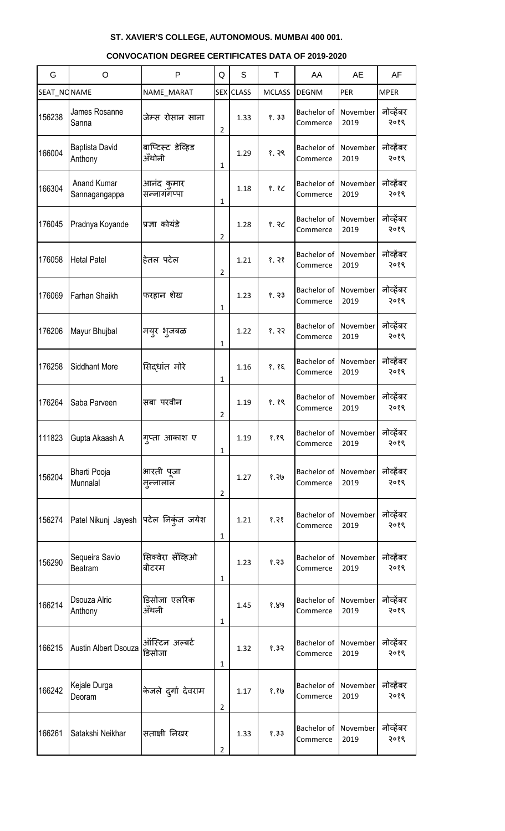#### G | O | P |Q | S | T | AA | AE | AF SEAT\_NONAME |NAME\_MARAT |SEX|CLASS | MCLASS |DEGNM |PER |MPER 156238 James Rosanne जेम्स रोसान साना 2 1.33 १. ३३ Bachelor of **Commerce** November 2019 नोव्हेंबर २०१९ 166004 Baptista David Anthony बाप्टिस्ट डेव्हिड ॲंथोनी 1  $1.29$   $8.38$ Bachelor of **Commerce** November 2019 नोव्हेंबर २०१९ 166304  $\int_{0}^{\frac{\pi}{4}}$  Anand Kumar Sannagangappa आनंद कुमार सन्नागॅगप्पा 1 1.18 १. १८ Bachelor of **Commerce** November 2019 नोव्हेंबर २०१९ 176045 Pradnya Koyande | प्रज्ञा कोयंडे 2  $1.28$   $8.32$ Bachelor of **Commerce** November 2019 नोव्हेंबर २०१९ 176058 Hetal Patel हितल पटेल 2  $1.21$   $8.38$ Bachelor of **Commerce** November 2019 नोव्हेंबर २०१९ 176069 Farhan Shaikh | फरहान शेख 1  $1.23$   $8.33$ Bachelor of **Commerce** November 2019 नोव्हेंबर २०१९ 176206 Mayur Bhujbal भमुय बुजफऱ 1  $1.22$  | 8. २२ Bachelor of **Commerce** November 2019 नोव्हेंबर २०१९ 176258 Siddhant More |सिद्धांत मोरे 1 1.16 १. १६ Bachelor of **Commerce** November 2019 नोव्हेंबर २०१९ 176264 Saba Parveen विसंबा परवीन 2 1.19 १. १९ Bachelor of **Commerce** November 2019 नोव्हेंबर २०१९ 111823 Gupta Akaash A | गुप्ता आकाश ए 1 1.19 १.१९ Bachelor of **Commerce** November 2019 नोव्हेंबर २०१९ <sup>156204</sup> Bharti Pooja **Munnalal** बायती ऩूजा मुन्नालाल 2 1.27 १.२७ Bachelor of **Commerce** November 2019 नोव्हेंबर २०१९ 156274 Patel Nikunj Jayesh पिटेल निकुंज जयेश 1  $1.21$   $8.38$ Bachelor of **Commerce** November 2019 नोव्हेंबर २०१९ <sup>156290</sup> Sequeira Savio Beatram सिक्वेरा सॅव्हिओ बीटरम 1 1.23 १.२३ Bachelor of **Commerce** November 2019 नोव्हेंबर २०१९ 166214 **Dsouza Alric** Anthony डिसोजा एलरिक ॲंथनी 1 1.45 १.४५ Bachelor of **Commerce** November 2019 नोव्हेंबर २०१९ 166215 Austin Albert Dsouza |<br>The Sandar Street Australian डडवोजा 1  $1.32$   $\binom{8.32}{ }$ Bachelor of **Commerce** November 2019 नोव्हेंबर २०१९ 166242 Kejale Durga केजले दुर्गा देवराम 2 1.17 १.१७ Bachelor of **Commerce** November 2019 नोव्हेंबर २०१९ 166261 Satakshi Neikhar | सताक्षी निखर 2 1.33 १.३३ Bachelor of **Commerce** November 2019 नोव्हेंबर २०१९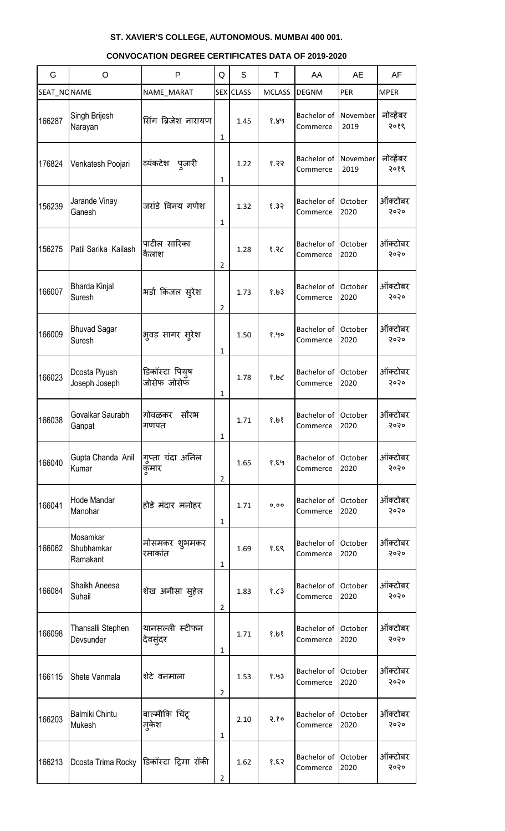| G           | O                                        | P                             | Q              | S                | T             | AA                             | <b>AE</b>        | AF                |
|-------------|------------------------------------------|-------------------------------|----------------|------------------|---------------|--------------------------------|------------------|-------------------|
| SEAT NONAME |                                          | NAME_MARAT                    |                | <b>SEX CLASS</b> | <b>MCLASS</b> | <b>DEGNM</b>                   | PER              | <b>MPER</b>       |
| 166287      | Singh Brijesh<br>Narayan                 | सिंग ब्रिजेश नारायण           | 1              | 1.45             | 8.89          | Bachelor of<br>Commerce        | November<br>2019 | नोव्हेंबर<br>२०१९ |
| 176824      | Venkatesh Poojari                        | व्यंकटेश पुजारी               | 1              | 1.22             | 9.33          | Bachelor of<br>Commerce        | November<br>2019 | नोव्हेंबर<br>२०१९ |
| 156239      | Jarande Vinay<br>Ganesh                  | जरांडे विनय गणेश              | $\mathbf{1}$   | 1.32             | 8.32          | Bachelor of<br>Commerce        | October<br>2020  | ऑक्टोबर<br>२०२०   |
| 156275      | Patil Sarika Kailash                     | पाटील सारिका<br>कैलाश         | $\overline{2}$ | 1.28             | 8.3C          | Bachelor of<br>Commerce        | October<br>2020  | ऑक्टोबर<br>२०२०   |
| 166007      | Bharda Kinjal<br>Suresh                  | भर्डा किंजल सुरेश             | $\overline{2}$ | 1.73             | 8.193         | Bachelor of<br>Commerce        | October<br>2020  | ऑक्टोबर<br>२०२०   |
| 166009      | <b>Bhuvad Sagar</b><br>Suresh            | भुवड सागर सुरेश               | 1              | 1.50             | 8.90          | Bachelor of<br>Commerce        | October<br>2020  | ऑक्टोबर<br>२०२०   |
| 166023      | Dcosta Piyush<br>Joseph Joseph           | डिकॉस्टा पियुष<br>जोसेफ जोसेफ | 1              | 1.78             | 8.9C          | Bachelor of<br>Commerce        | October<br>2020  | ऑक्टोबर<br>२०२०   |
| 166038      | Govalkar Saurabh<br>Ganpat               | सौरभ<br>गोवळकर<br>गणपत        | 1              | 1.71             | 8.198         | Bachelor of<br>Commerce        | October<br>2020  | ऑक्टोबर<br>२०२०   |
| 166040      | Gupta Chanda Anil<br>Kumar               | गुप्ता चंदा अनिल<br>कुमार     | $\overline{2}$ | 1.65             | 8.89          | Bachelor of<br>Commerce        | October<br>2020  | ऑक्टोबर<br>२०२०   |
| 166041      | Hode Mandar<br>Manohar                   | होडे मंदार मनोहर              | 1              | 1.71             | 0,00          | Bachelor of<br>Commerce        | October<br>2020  | ऑक्टोबर<br>२०२०   |
| 166062      | Mosamkar<br>Shubhamkar<br>Ramakant       | मोसमकर शुभमकर<br>रमाकांत      | 1              | 1.69             | 8.89          | Bachelor of<br>Commerce        | October<br>2020  | ऑक्टोबर<br>२०२०   |
| 166084      | Shaikh Aneesa<br>Suhail                  | शेख अनीसा सुहेल               | $\overline{2}$ | 1.83             | 8.63          | Bachelor of<br>Commerce        | October<br>2020  | ऑक्टोबर<br>२०२०   |
| 166098      | Thansalli Stephen<br>Devsunder           | थानसल्ली स्टीफन<br>देवसुंदर   | 1              | 1.71             | 8.198         | <b>Bachelor</b> of<br>Commerce | October<br>2020  | ऑक्टोबर<br>२०२०   |
| 166115      | Shete Vanmala                            | शेटे वनमाला                   | $\overline{2}$ | 1.53             | 8.93          | <b>Bachelor</b> of<br>Commerce | October<br>2020  | ऑक्टोबर<br>२०२०   |
| 166203      | <b>Balmiki Chintu</b><br><b>Mukesh</b>   | बाल्मीकि चिंटू<br>मकेश        | 1              | 2.10             | 2.80          | <b>Bachelor</b> of<br>Commerce | October<br>2020  | ऑक्टोबर<br>२०२०   |
| 166213      | Dcosta Trima Rocky  डिकॉस्टा ट्रिमा रॉकी |                               | $\overline{2}$ | 1.62             | 53.8          | Bachelor of<br>Commerce        | October<br>2020  | ऑक्टोबर<br>२०२०   |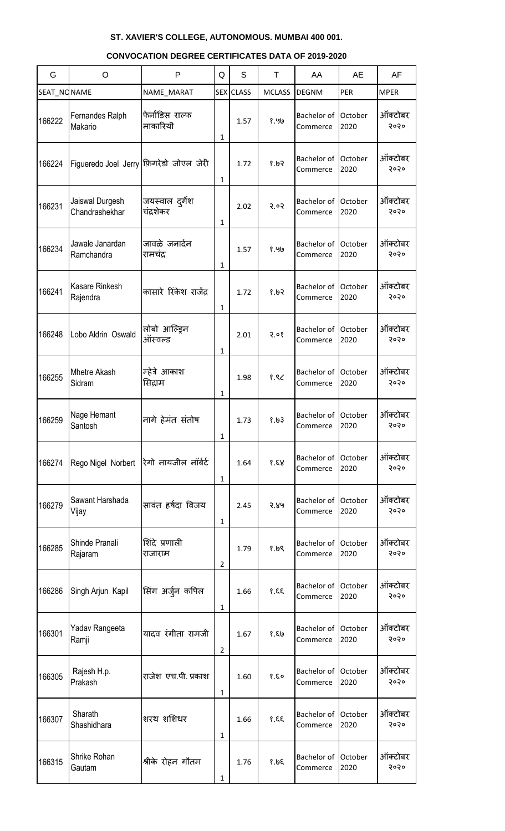| G           | $\circ$                                 | P                            | Q              | S                | T             | AA                             | <b>AE</b>       | AF              |
|-------------|-----------------------------------------|------------------------------|----------------|------------------|---------------|--------------------------------|-----------------|-----------------|
| SEAT_NONAME |                                         | NAME MARAT                   |                | <b>SEX</b> CLASS | <b>MCLASS</b> | <b>DEGNM</b>                   | PER             | <b>MPER</b>     |
| 166222      | Fernandes Ralph<br>Makario              | फेर्नांडिस राल्फ<br>माकारियॊ | 1              | 1.57             | १.५७          | Bachelor of<br>Commerce        | October<br>2020 | ऑक्टोबर<br>२०२० |
| 166224      | Figueredo Joel Jerry फ़िगरेडो जोएल जेरी |                              | 1              | 1.72             | 9.193         | Bachelor of<br>Commerce        | October<br>2020 | ऑक्टोबर<br>२०२० |
| 166231      | Jaiswal Durgesh<br>Chandrashekhar       | जयस्वाल दुर्गेश<br>चंदशेकर   | 1              | 2.02             | 5.03          | Bachelor of<br>Commerce        | October<br>2020 | ऑक्टोबर<br>२०२० |
| 166234      | Jawale Janardan<br>Ramchandra           | जावळे जनार्दन<br>रामचंद्र    | 1              | 1.57             | १.५७          | Bachelor of<br>Commerce        | October<br>2020 | ऑक्टोबर<br>२०२० |
| 166241      | <b>Kasare Rinkesh</b><br>Rajendra       | कासारे रिंकेश राजेंद्र       | 1              | 1.72             | 9.193         | Bachelor of<br>Commerce        | October<br>2020 | ऑक्टोबर<br>२०२० |
| 166248      | Lobo Aldrin Oswald                      | लोबो आल्ड्रिन<br>ऑस्वल्ड     | 1              | 2.01             | 3.08          | Bachelor of<br>Commerce        | October<br>2020 | ऑक्टोबर<br>२०२० |
| 166255      | <b>Mhetre Akash</b><br>Sidram           | म्हेत्रे आकाश<br>सिद्राम     | 1              | 1.98             | 8.86          | Bachelor of<br>Commerce        | October<br>2020 | ऑक्टोबर<br>२०२० |
| 166259      | Nage Hemant<br>Santosh                  | नागे हेमंत संतोष             | 1              | 1.73             | 8.03          | <b>Bachelor</b> of<br>Commerce | October<br>2020 | ऑक्टोबर<br>२०२० |
| 166274      | Rego Nigel Norbert                      | रिगो नायजील नॉर्बर्ट         | $\mathbf{1}$   | 1.64             | 8.88          | Bachelor of<br>Commerce        | October<br>2020 | ऑक्टोबर<br>२०२० |
| 166279      | Sawant Harshada<br>Vijay                | सावंत हर्षदा विजय            | 1              | 2.45             | 5.89          | Bachelor of<br>Commerce        | October<br>2020 | ऑक्टोबर<br>२०२० |
| 166285      | Shinde Pranali<br>Rajaram               | शिंदे प्रणाली<br>राजाराम     | $\overline{2}$ | 1.79             | 8.198         | Bachelor of<br>Commerce        | October<br>2020 | ऑक्टोबर<br>२०२० |
| 166286      | Singh Arjun Kapil                       | सिंग अर्जुन कपिल             | 1              | 1.66             | 33.8          | <b>Bachelor</b> of<br>Commerce | October<br>2020 | ऑक्टोबर<br>२०२० |
| 166301      | Yadav Rangeeta<br>Ramji                 | यादव रंगीता रामजी            | $\overline{2}$ | 1.67             | 8.50          | <b>Bachelor</b> of<br>Commerce | October<br>2020 | ऑक्टोबर<br>२०२० |
| 166305      | Rajesh H.p.<br>Prakash                  | राजेश एच.पी. प्रकाश          | 1              | 1.60             | 8.80          | Bachelor of<br>Commerce        | October<br>2020 | ऑक्टोबर<br>२०२० |
| 166307      | Sharath<br>Shashidhara                  | शरथ शशिधर                    | 1              | 1.66             | 33.8          | Bachelor of<br>Commerce        | October<br>2020 | ऑक्टोबर<br>२०२० |
| 166315      | Shrike Rohan<br>Gautam                  | श्रीके रोहन गौतम             | 1              | 1.76             | 30.8          | Bachelor of<br>Commerce        | October<br>2020 | ऑक्टोबर<br>२०२० |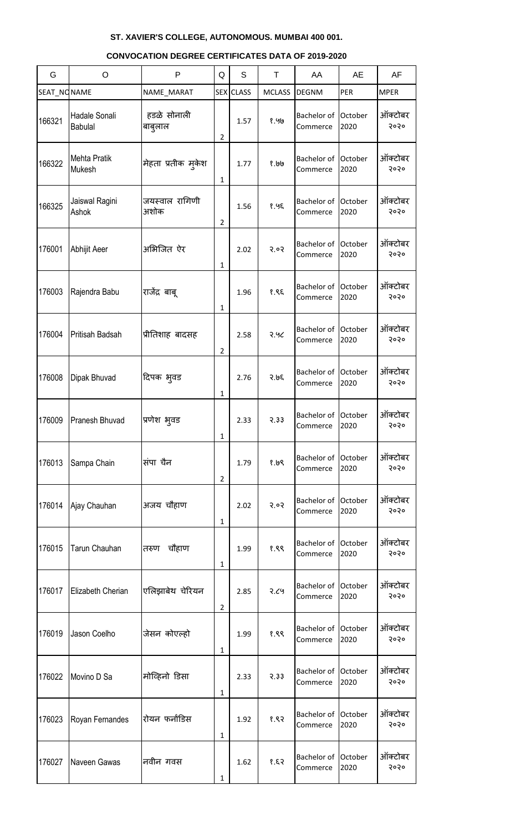| G           | O                               | $\mathsf{P}$           | Q              | S                | $\top$        | AA                              | <b>AE</b>       | AF              |
|-------------|---------------------------------|------------------------|----------------|------------------|---------------|---------------------------------|-----------------|-----------------|
| SEAT_NONAME |                                 | NAME_MARAT             |                | <b>SEX</b> CLASS | <b>MCLASS</b> | <b>DEGNM</b>                    | PER             | <b>MPER</b>     |
| 166321      | Hadale Sonali<br><b>Babulal</b> | हडळे सोनाली<br>बाबुलाल | $\overline{2}$ | 1.57             | १.५७          | Bachelor of<br>Commerce         | October<br>2020 | ऑक्टोबर<br>२०२० |
| 166322      | <b>Mehta Pratik</b><br>Mukesh   | मेहता प्रतीक मुकेश     | 1              | 1.77             | 9.191         | Bachelor of<br>Commerce         | October<br>2020 | ऑक्टोबर<br>२०२० |
| 166325      | Jaiswal Ragini<br>Ashok         | जयस्वाल रागिणी<br>अशोक | $\overline{2}$ | 1.56             | 8.95          | Bachelor of<br>Commerce         | October<br>2020 | ऑक्टोबर<br>२०२० |
| 176001      | Abhijit Aeer                    | अभिजित ऐर              | 1              | 2.02             | २.०२          | <b>Bachelor of</b><br>Commerce  | October<br>2020 | ऑक्टोबर<br>२०२० |
| 176003      | Rajendra Babu                   | राजेंद्र बाबू          | 1              | 1.96             | १.९६          | Bachelor of<br>Commerce         | October<br>2020 | ऑक्टोबर<br>२०२० |
| 176004      | Pritisah Badsah                 | प्रीतिशाह बादसह        | 2              | 2.58             | २.५८          | Bachelor of<br>Commerce         | October<br>2020 | ऑक्टोबर<br>२०२० |
| 176008      | Dipak Bhuvad                    | दिपक भुवड              | 1              | 2.76             | २.७६          | Bachelor of<br>Commerce         | October<br>2020 | ऑक्टोबर<br>२०२० |
| 176009      | Pranesh Bhuvad                  | प्रणेश भुवड            | 1              | 2.33             | 2.33          | Bachelor of<br>Commerce         | October<br>2020 | ऑक्टोबर<br>२०२० |
| 176013      | Sampa Chain                     | संपा चैन               | $\overline{2}$ | 1.79             | १.७९          | Bachelor of<br>Commerce         | October<br>2020 | ऑक्टोबर<br>२०२० |
| 176014      | Ajay Chauhan                    | अजय चौहाण              | 1              | 2.02             | २.०२          | Bachelor of<br>Commerce         | October<br>2020 | ऑक्टोबर<br>२०२० |
| 176015      | <b>Tarun Chauhan</b>            | चौहाण<br>तरुण          | $\mathbf{1}$   | 1.99             | १.९९          | Bachelor of<br>Commerce         | October<br>2020 | ऑक्टोबर<br>२०२० |
| 176017      | Elizabeth Cherian               | एलिझाबेथ चेरियन        | $\overline{2}$ | 2.85             | २.८५          | Bachelor of<br>Commerce         | October<br>2020 | ऑक्टोबर<br>२०२० |
| 176019      | Jason Coelho                    | जेसन कोएल्हो           | 1              | 1.99             | १.९९          | Bachelor of<br>Commerce         | October<br>2020 | ऑक्टोबर<br>२०२० |
| 176022      | Movino D Sa                     | मोव्हिनो डिसा          | 1              | 2.33             | 2.33          | Bachelor of<br>Commerce         | October<br>2020 | ऑक्टोबर<br>२०२० |
| 176023      | Royan Fernandes                 | रोयन फर्नांडिस         | 1              | 1.92             | १.९२          | Bachelor of<br>Commerce         | October<br>2020 | ऑक्टोबर<br>२०२० |
| 176027      | Naveen Gawas                    | नवीन गवस               | 1              | 1.62             | 53.8          | Bachelor of October<br>Commerce | 2020            | ऑक्टोबर<br>२०२० |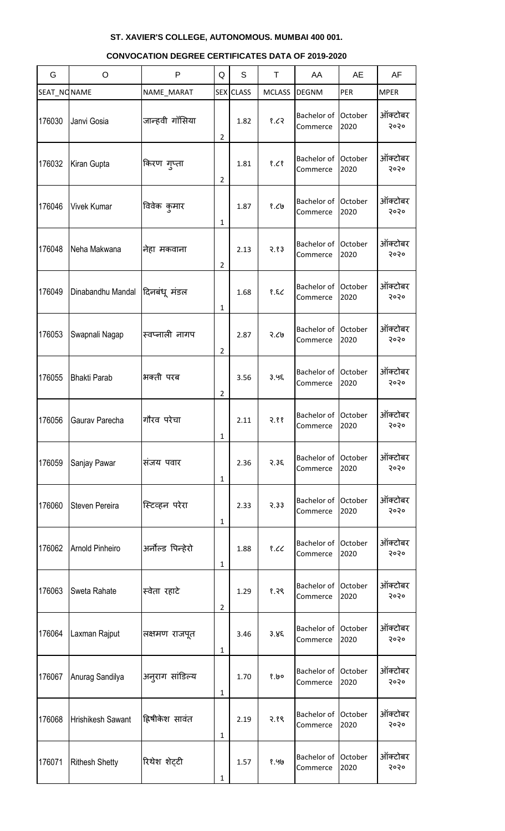#### G | O | P |Q | S | T | AA | AE | AF SEAT\_NONAME NAME\_MARAT SEX CLASS MCLASS DEGNM PER MPER 176030 Janvi Gosia | जान्हवी गॉसिया 2  $1.82$   $\binom{8.62}{}$ Bachelor of **Commerce October** 2020 ऑक्टोबर २०२० 176032 Kiran Gupta | किरण गुप्ता 2  $1.81$  |  $8.68$ Bachelor of **Commerce October** 2020 ऑक्टोबर २०२० 176046 | Vivek Kumar | विवेक कुमार 1 1.87 १.८७ Bachelor of **Commerce October** 2020 ऑक्टोबर २०२० 176048 Neha Makwana नेशा भकलाना 2 2.13 २.१३ Bachelor of **Commerce October** 2020 ऑक्टोबर २०२० 176049 Dinabandhu Mandal दिनबंधू मंडल 1 1.68 १.६८ Bachelor of October **Commerce** 2020 ऑक्टोबर २०२० 176053 Swapnali Nagap | स्वप्नाली नागप 2 2.87 २.८७ Bachelor of **Commerce October** 2020 ऑक्टोबर २०२० 176055 Bhakti Parab |अक्ती परब 2 3.56 ३.५६ Bachelor of **Commerce October** 2020 ऑक्टोबर २०२० 176056 Gaurav Parecha | गौरव परेचा 1 2.11 २.११ Bachelor of **Commerce October** 2020 ऑक्टोबर २०२० 176059 Sanjay Pawar | संजय पवार 1 2.36 २.३६ Bachelor of **Commerce October** 2020 ऑक्टोबर २०२० 176060 Steven Pereira |स्टिव्हन परेरा 1 2.33 २.३३ Bachelor of October **Commerce** 2020 ऑक्टोबर २०२० 176062 Arnold Pinheiro |अर्नोल्ड पिन्हेरो 1 1.88 १.८८ Bachelor of Commerce **October** 2020 ऑक्टोबर २०२० 176063 Sweta Rahate | स्वेता रहाटे 2 1.29 १.२९ Bachelor of **Commerce October** 2020 ऑक्टोबर २०२० 176064 Laxman Rajput | लक्षमण राजपूत 1 3.46 ३.४६ Bachelor of **Commerce** October 2020 ऑक्टोबर २०२० 176067 Anurag Sandilya | अनुराग सांडिल्य 1 1.70 १.७० Bachelor of October **Commerce** 2020 ऑक्टोबर २०२० 176068 Hrishikesh Sawant हिषीकेश सावंत 1 2.19 २.१९ Bachelor of **Commerce October** 2020 ऑक्टोबर २०२० 176071 Rithesh Shetty | रिथेश शेट्टी 1.57 १.५७ Bachelor of Commerce October 2020 ऑक्टोबर २०२०

1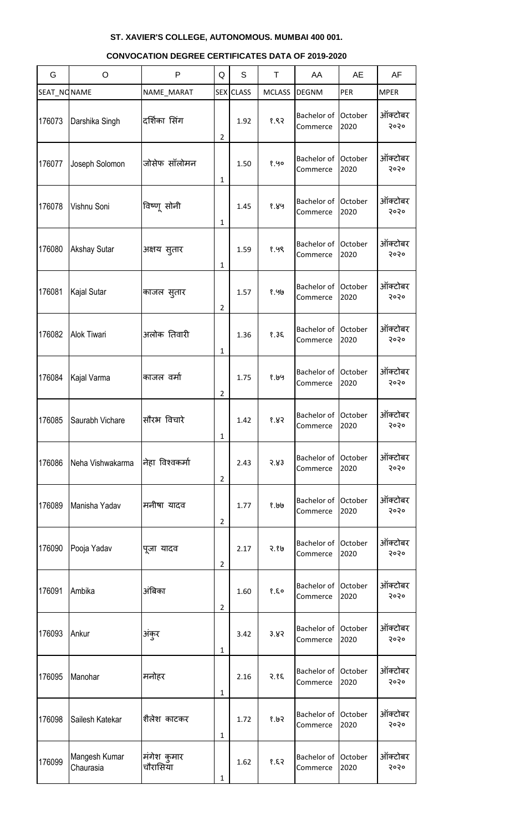#### G | O | P |Q | S | T | AA | AE | AF SEAT\_NONAME NAME\_MARAT SEX CLASS MCLASS DEGNM PER MPER 176073 Darshika Singh |दर्शिका सिंग 2 1.92 १.९२ Bachelor of **Commerce October** 2020 ऑक्टोबर २०२० 176077 Joseph Solomon | जोसेफ सॉलोमन 1 1.50 १.५० Bachelor of **Commerce October** 2020 ऑक्टोबर २०२० 176078 | Vishnu Soni | विष्णू सोनी 1 1.45 १.४५ Bachelor of **Commerce October** 2020 ऑक्टोबर २०२० 176080 Akshay Sutar | अक्षय सुतार 1 1.59 १.५९ Bachelor of **Commerce October** 2020 ऑक्टोबर २०२० 176081 Kajal Sutar | काजल सूतार 2 1.57 १.५७ Bachelor of **Commerce October** 2020 ऑक्टोबर २०२० 176082 Alok Tiwari | अलोक तिवारी 1 1.36 १.३६ Bachelor of **Commerce October** 2020 ऑक्टोबर २०२० 176084 Kajal Varma | काजल वर्मा 2 1.75 १.७५ Bachelor of **Commerce October** 2020 ऑक्टोबर २०२० 176085 Saurabh Vichare | सौरभ विचारे 1 1.42 १.४२ Bachelor of **Commerce October** 2020 ऑक्टोबर २०२० 176086 Neha Vishwakarma जिल्ला विश्वकर्मा 2 2.43 २.४३ Bachelor of **Commerce October** 2020 ऑक्टोबर २०२० 176089 Manisha Yadav | मनीषा यादव 2 1.77 १.७७ Bachelor of October **Commerce** 2020 ऑक्टोबर २०२० 176090 Pooja Yadav | पूजा यादव 2 2.17 २.१७ Bachelor of Commerce **October** 2020 ऑक्टोबर २०२० 176091 |Ambika |अंबिका 2 1.60 १.६० Bachelor of **Commerce October** 2020 ऑक्टोबर २०२० 176093 Ankur |अंकुर 1 3.42 ३.४२ Bachelor of Commerce October 2020 ऑक्टोबर २०२० 176095 Manohar | मनोहर 1 2.16 २.१६ Bachelor of October **Commerce** 2020 ऑक्टोबर २०२० 176098 Sailesh Katekar |शैलेश काटकर 1 1.72 १.७२ Bachelor of **Commerce October** 2020 ऑक्टोबर २०२० 176099 Mangesh Kumar Chaurasia मंगेश कुमार चौरासिया 1.62 १.६२ Bachelor of **Commerce** October 2020 ऑक्टोबर २०२०

1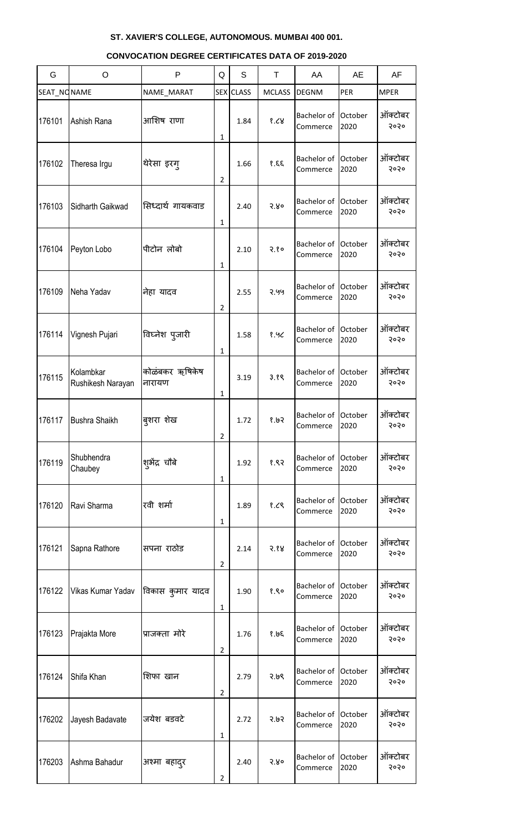#### G | O | P |Q | S | T | AA | AE | AF SEAT\_NONAME | NAME\_MARAT | SEX CLASS | MCLASS DEGNM | PER | MPER 176101 Ashish Rana | आशिष राणा 1 1.84 १.८४ Bachelor of **Commerce October** 2020 ऑक्टोबर २०२० 176102 Theresa Irgu |थेरेसा इरग् 2 1.66 १.६६ Bachelor of **Commerce October** 2020 ऑक्टोबर २०२० 176103 Sidharth Gaikwad Ratzq थे गायकवाड 1 2.40 २.४० Bachelor of **Commerce October** 2020 ऑक्टोबर २०२० 176104 Peyton Lobo | पीटोन लोबो 1  $2.10$   $\sqrt{}$   $2.80$ Bachelor of **Commerce October** 2020 ऑक्टोबर २०२० 176109 Neha Yadav a निहा यादव 2 2.55 २.५५ Bachelor of **Commerce October** 2020 ऑक्टोबर २०२० 176114 Vignesh Pujari | विघ्नेश पुजारी 1 1.58 १.५८ Bachelor of **Commerce October** 2020 ऑक्टोबर २०२० 176115  $K$ olambkar Rushikesh Narayan कोळंबकर ऋषिकेष नायामण 1 3.19 ३.१९ Bachelor of **Commerce October** 2020 ऑक्टोबर २०२० 176117 Bushra Shaikh | बुशरा शेख 2 1.72 १.७२ Bachelor of **Commerce October** 2020 ऑक्टोबर २०२० 176119 Shubhendra श्#ेद्र चौबे 1 1.92 १.९२ Bachelor of **Commerce October** 2020 ऑक्टोबर २०२० 176120 Ravi Sharma | रवी शर्मा 1 1.89 १.८९ Bachelor of October **Commerce** 2020 ऑक्टोबर २०२० 176121 Sapna Rathore | सपना राठोड 2 2.14 २.१४ Bachelor of **Commerce October** 2020 ऑक्टोबर २०२० 176122 Vikas Kumar Yadav विकास कुमार यादव 1 1.90 १.९० Bachelor of **Commerce October** 2020 ऑक्टोबर २०२० 176123 Prajakta More प्राजक्ता भोये 2 1.76 १.७६ Bachelor of **Commerce** October 2020 ऑक्टोबर २०२० 176124 Shifa Khan |शिफा खान 2 2.79 २.७९ Bachelor of October **Commerce** 2020 ऑक्टोबर २०२० 176202 Jayesh Badavate | जयेश बडवटे 1 2.72 २.७२ Bachelor of October **Commerce** 2020 ऑक्टोबर २०२० 176203 Ashma Bahadur | अश्मा बहादुर 2 2.40 २.४० Bachelor of **Commerce October** 2020 ऑक्टोबर २०२०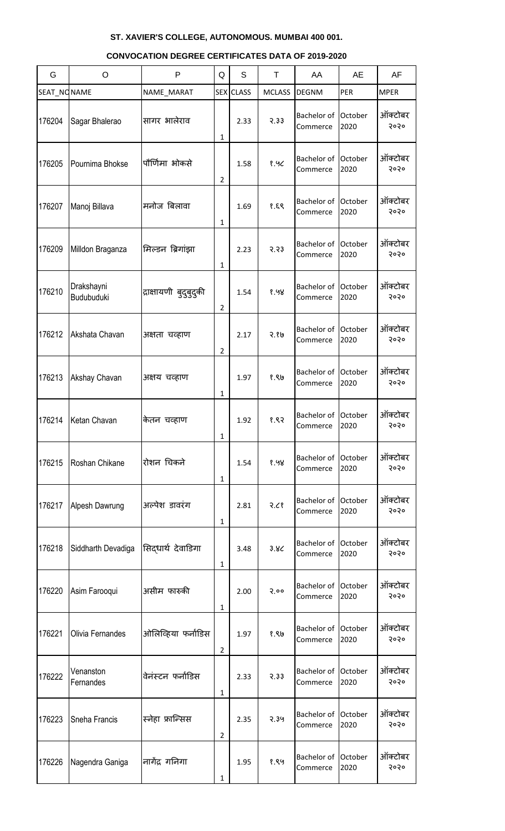#### G | O | P |Q | S | T | AA | AE | AF SEAT\_NONAME | NAME\_MARAT | SEX CLASS | MCLASS DEGNM | PER | MPER 176204 Sagar Bhalerao | सागर भालेराव 1 2.33 २.३३ Bachelor of **Commerce October** 2020 ऑक्टोबर २०२० 176205 Pournima Bhokse | पौर्णिमा भोकसे 2 1.58 १.५८ Bachelor of **Commerce October** 2020 ऑक्टोबर २०२० 176207 Manoj Billava | मनोज बिलावा 1 1.69 १.६९ Bachelor of **Commerce** October 2020 ऑक्टोबर २०२० 176209 Milldon Braganza सिल्डन बिगांझा 1 2.23 २.२३ Bachelor of **Commerce October** 2020 ऑक्टोबर २०२० 176210 **Drakshayni**<br>Budubuduki द्राक्षायणी बुदुबु<mark>द</mark>ुकी 2 1.54 १.५४ Bachelor of **Commerce October** 2020 ऑक्टोबर २०२० 176212 Akshata Chavan | अक्षता चव्हाण 2 2.17 २.१७ Bachelor of **Commerce October** 2020 ऑक्टोबर २०२० 176213 | Akshay Chavan | अक्षय चव्हाण 1 1.97 १.९७ Bachelor of **Commerce October** 2020 ऑक्टोबर २०२० 176214 Ketan Chavan | केतन चव्हाण 1 1.92 १.९२ Bachelor of **Commerce October** 2020 ऑक्टोबर २०२० 176215 Roshan Chikane | रोशन चिकने 1 1.54 १.५४ Bachelor of **Commerce October** 2020 ऑक्टोबर २०२० 176217 Alpesh Dawrung |अल्पेश डावरंग 1  $2.81$   $7.68$ Bachelor of October **Commerce** 2020 ऑक्टोबर २०२० 176218 Siddharth Devadiga सिद्धार्थ देवाडिगा 1 3.48 ३.४८ Bachelor of Commerce **October** 2020 ऑक्टोबर २०२० 176220 Asim Farooqui अवीभ पारुकी 1 2.00 २.०० Bachelor of **Commerce October** 2020 ऑक्टोबर २०२० 176221 Olivia Fernandes | ओलिव्हिया फर्नांडिस 2 1.97 १.९७ Bachelor of **Commerce** October 2020 ऑक्टोबर २०२० 176222 **Venanston**<br>Fernandes वेनंस्टन फर्नांडिस 1 2.33 २.३३ Bachelor of October **Commerce** 2020 ऑक्टोबर २०२० 176223 Sneha Francis | स्नेहा फ्रान्सिस 2 2.35 २.३५ Bachelor of October **Commerce** 2020 ऑक्टोबर २०२० 176226 Nagendra Ganiga नागेंद्र गननगा 1.95 १.९५ Bachelor of **Commerce** October 2020 ऑक्टोबर २०२०

1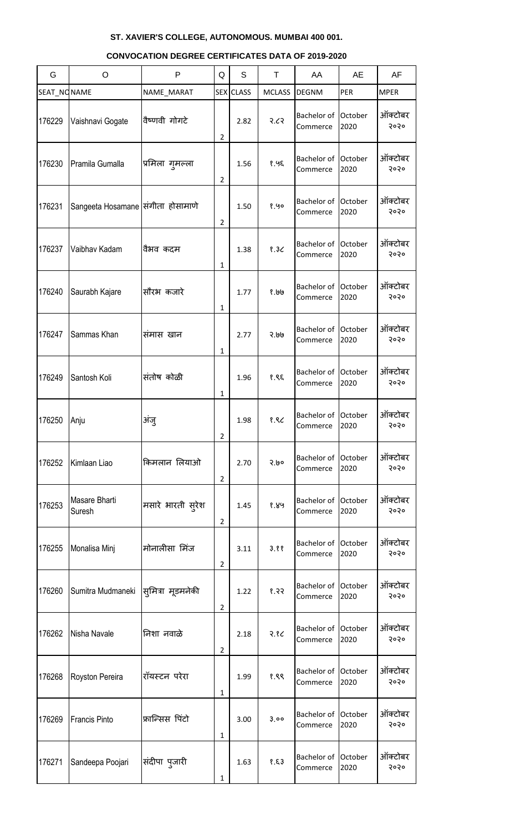#### G | O | P |Q | S | T | AA | AE | AF SEAT\_NONAME NAME\_MARAT SEX CLASS MCLASS DEGNM PER MPER 176229 Vaishnavi Gogate | वैष्णवी गोगटे 2 2.82 २.८२ Bachelor of **Commerce October** 2020 ऑक्टोबर २०२० 176230 Pramila Gumalla |प्रमिला गुमल्ला 2 1.56 १.५६ Bachelor of **Commerce October** 2020 ऑक्टोबर २०२० 176231 Sangeeta Hosamane सिंगीता होसामाणे 2 1.50 १.५० Bachelor of **Commerce October** 2020 ऑक्टोबर २०२० 176237 Vaibhav Kadam । वैभव कदम 1 1.38 १.३८ Bachelor of **Commerce October** 2020 ऑक्टोबर २०२० 176240 Saurabh Kajare |सौरभ कजारे 1 1.77 १.७७ Bachelor of Commerce **October** 2020 ऑक्टोबर २०२० 176247 Sammas Khan |संमास खान 1 2.77 २.७७ Bachelor of **Commerce October** 2020 ऑक्टोबर २०२० 176249 Santosh Koli | संतोष कोळी 1 1.96 १.९६ Bachelor of **Commerce October** 2020 ऑक्टोबर २०२० 176250 Anju |अंजु 2 1.98 १.९८ Bachelor of **Commerce October** 2020 ऑक्टोबर २०२० 176252 Kimlaan Liao | किमलान लियाओ 2 2.70 २.७० Bachelor of **Commerce October** 2020 ऑक्टोबर २०२० 176253 Masare Bharti मसारे भारती सुरेश 2 1.45 १.४५ Bachelor of October **Commerce** 2020 ऑक्टोबर २०२० 176255 Monalisa Minj | मोनालीसा मिंज 2  $3.11$   $3.88$ Bachelor of **Commerce October** 2020 ऑक्टोबर २०२० 176260 Sumitra Mudmaneki सूमित्रा मूडमनेकी 2 1.22 १.२२ Bachelor of **Commerce October** 2020 ऑक्टोबर २०२० 176262 Nisha Navale ननळा नलाऱे 2 2.18 २.१८ Bachelor of Commerce October 2020 ऑक्टोबर २०२० 176268 Royston Pereira | रॉयस्टन परेरा 1 1.99 १.९९ Bachelor of October **Commerce** 2020 ऑक्टोबर २०२० 176269 Francis Pinto | फ्रान्सिस पिंटो 1 3.00 ३.०० Bachelor of Commerce **October** 2020 ऑक्टोबर २०२० 176271 Sandeepa Poojari सिंदीपा पुजारी 1.63 १.६३ Bachelor of **Commerce October** 2020 ऑक्टोबर २०२०

1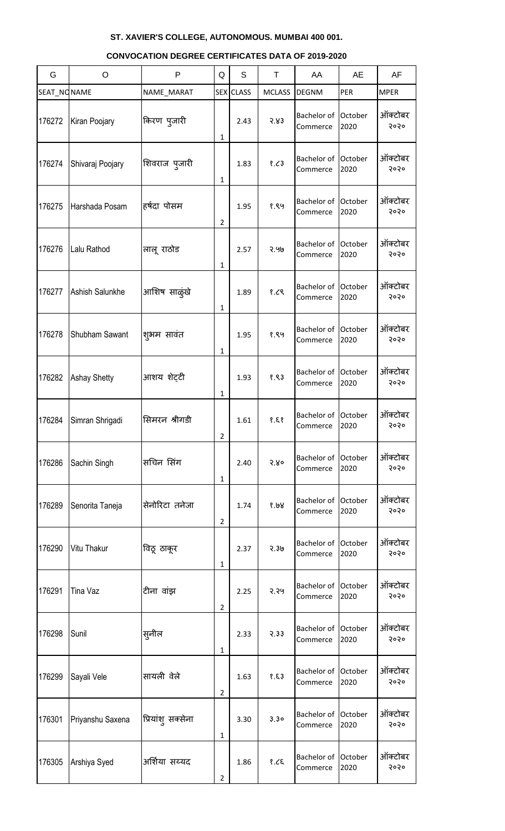#### G | O | P |Q | S | T | AA | AE | AF SEAT\_NONAME | NAME\_MARAT | SEX CLASS | MCLASS DEGNM | PER | MPER 176272 Kiran Poojary | किरण प्जारी 1 2.43 २.४३ Bachelor of **Commerce October** 2020 ऑक्टोबर २०२० 176274 Shivaraj Poojary |शिवराज प्जारी 1 1.83 १.८३ Bachelor of **Commerce October** 2020 ऑक्टोबर २०२० 176275 Harshada Posam हर्षदा पोसम 2 1.95 १.९५ Bachelor of **Commerce October** 2020 ऑक्टोबर २०२० 176276 | Lalu Rathod | लालू राठोड 1 2.57 २.५७ Bachelor of **Commerce October** 2020 ऑक्टोबर २०२० 176277 Ashish Salunkhe | आशिष साळूंखे 1 1.89 १.८९ Bachelor of Commerce **October** 2020 ऑक्टोबर २०२० 176278 Shubham Sawant |श्<sub>भिम</sub> सावंत 1 1.95 १.९५ Bachelor of **Commerce October** 2020 ऑक्टोबर २०२० 176282 Ashay Shetty | आशय शेट्टी 1 1.93 १.९३ Bachelor of **Commerce October** 2020 ऑक्टोबर २०२० 176284 Simran Shrigadi | सिमरन श्रीगडी 2  $1.61$  ?.٤ ? Bachelor of **Commerce** October 2020 ऑक्टोबर २०२० 176286 Sachin Singh |सचिन सिंग 1 2.40 २.४० Bachelor of **Commerce October** 2020 ऑक्टोबर २०२० 176289 Senorita Taneja |सेनोरिटा तनेजा 2 1.74 १.७४ Bachelor of October **Commerce** 2020 ऑक्टोबर २०२० 176290 Vitu Thakur | विठू ठाकूर 1 2.37 २.३७ Bachelor of Commerce **October** 2020 ऑक्टोबर २०२० 176291 Tina Vaz |टीना वांझ 2 2.25 २.२५ Bachelor of **Commerce October** 2020 ऑक्टोबर २०२० 176298 Sunil |सुनील 1 2.33 २.३३ Bachelor of **Commerce** October 2020 ऑक्टोबर २०२० 176299 Sayali Vele |सायली वेले 2 1.63 १.६३ Bachelor of October **Commerce** 2020 ऑक्टोबर २०२० 176301 Priyanshu Saxena | प्रियांश् सक्सेना 1 3.30 ३.३० Bachelor of **Commerce October** 2020 ऑक्टोबर २०२० 176305 Arshiya Syed |अर्शिया सय्यद 1.86 १.८६ Bachelor of **Commerce** October 2020 ऑक्टोबर २०२०

2